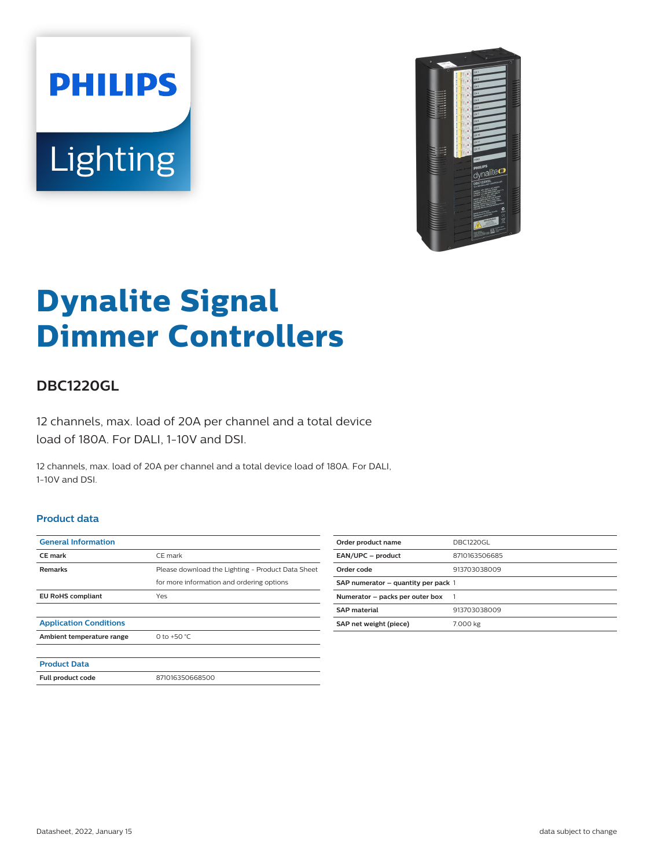



# **Dynalite Signal Dimmer Controllers**

## **DBC1220GL**

12 channels, max. load of 20A per channel and a total device load of 180A. For DALI, 1-10V and DSI.

12 channels, max. load of 20A per channel and a total device load of 180A. For DALI, 1-10V and DSI.

#### **Product data**

| <b>General Information</b>    |                                                   |
|-------------------------------|---------------------------------------------------|
| <b>CE</b> mark                | CE mark                                           |
| <b>Remarks</b>                | Please download the Lighting - Product Data Sheet |
|                               | for more information and ordering options         |
| <b>EU RoHS compliant</b>      | Yes                                               |
|                               |                                                   |
| <b>Application Conditions</b> |                                                   |
| Ambient temperature range     | 0 to +50 $^{\circ}$ C                             |
|                               |                                                   |
| <b>Product Data</b>           |                                                   |
| Full product code             | 871016350668500                                   |

| Order product name                  | <b>DBC1220GL</b> |
|-------------------------------------|------------------|
| EAN/UPC - product                   | 8710163506685    |
| Order code                          | 913703038009     |
| SAP numerator – quantity per pack 1 |                  |
| Numerator - packs per outer box     |                  |
| <b>SAP material</b>                 | 913703038009     |
| SAP net weight (piece)              | 7.000 kg         |
|                                     |                  |